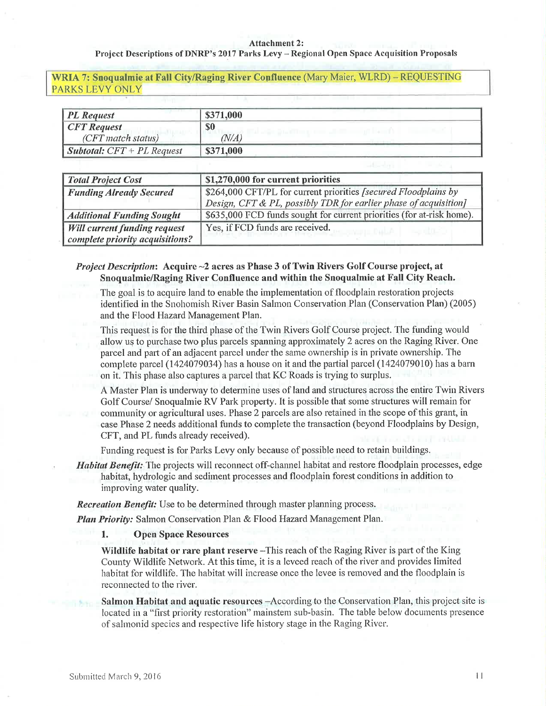#### Attachment 2:

### Project Descriptions of DNRP's 2017 Parks Levy - Regional Open Space Acquisition Proposals

WRIA 7: Snoqualmie at Fall City/Raging River Confluence (Mary Maier, WLRD) - REQUESTING PARKS LEVY ONLY

| <b>PL</b> Request                   | \$371,000 |  |
|-------------------------------------|-----------|--|
| <b>CFT</b> Request                  | \$0       |  |
| (CFT match status)                  | N/A,      |  |
| <b>Subtotal:</b> $CFT + PL$ Request | \$371,000 |  |

| <b>Total Project Cost</b>           | \$1,270,000 for current priorities                                    |  |
|-------------------------------------|-----------------------------------------------------------------------|--|
| <b>Funding Already Secured</b>      | \$264,000 CFT/PL for current priorities [secured Floodplains by       |  |
|                                     | Design, CFT & PL, possibly TDR for earlier phase of acquisition]      |  |
| <b>Additional Funding Sought</b>    | \$635,000 FCD funds sought for current priorities (for at-risk home). |  |
| <b>Will current funding request</b> | Yes, if FCD funds are received.                                       |  |
| complete priority acquisitions?     |                                                                       |  |

# Project Description: Acquire -2 acres as Phase 3 of Twin Rivers Golf Course project, at SnoqualmielRaging River Confluence and within the Snoqualmie at Fall City Reach.

The goal is to acquire land to enable the implementation of floodplain restoration projects identified in the Snohomish River Basin Sahnon Conservation Plan (Conservation Plan) (2005) and the Flood Hazard Management Plan.

This request is for the third phase of the Twin Rivers Golf Course project. The funding would allow us to purchase two plus parcels spanning approximately 2 acres on the Raging River. One patcel and part of an adjacent parcel under the sarre ownership is in private owuership. The complete parcel (1424079034) has a house on it and the partial parcel (1424079010) has a barn on it. This phase also captures a parcel that KC Roads is trying to surplus.

A Master Plan is underway to determine uses of land and structures across the entire Twin Rivers Golf Course/ Snoquahnie RV Park property. It is possible that some structures will rernain for community or agricultural uses. Phase 2 parcels are also retained in the scope of this grant, in case Phase 2 needs additional funds to complete the transaction (beyond Floodplains by Design, CFT, and PL funds already received).

Funding request is for Parks Levy only because of possible need to retain buildings.

Habitat Benefit: The projects will reconnect off-channel habitat and restore floodplain processes, edge habitat, hydrologic and sedirnent processes and floodplain forest conditions in addition to improving water quality.

**Recreation Benefit:** Use to be determined through master planning process.

Plan Priority: Salmon Conservation Plan & Flood Hazard Management Plan.

1. Open Space Resources

Wildlife habitat or rare plant reserve –This reach of the Raging River is part of the King County Wildlife Network. At this time, it is a leveed reach of the river and provides limited habitat for wildlife. The habitat will increase once the levee is removed and the floodplain is reconnected to the river.

Salmon Habitat and aquatic resources -According to the Conservation Plan, this project site is located in a "first priority restoration" mainstem sub-basin. The table below documents presence of salmonid species and respective life history stage in the Raging River.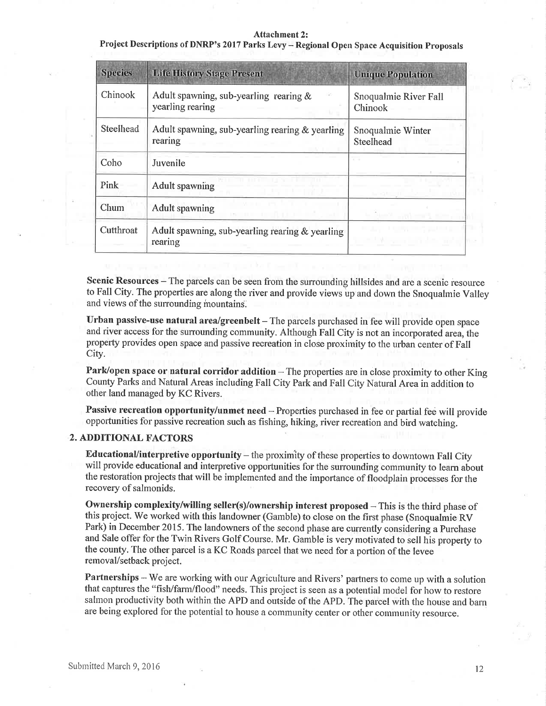### Attachment 2:

Project Descriptions of DNRP's 2017 Parks Levy - Regional Open Space Acquisition Proposals

| <b>Species</b> | <b>Life History Stage Present</b>                             | <b>Unique Population</b>         |
|----------------|---------------------------------------------------------------|----------------------------------|
| Chinook        | Adult spawning, sub-yearling rearing $\&$<br>yearling rearing | Snoqualmie River Fall<br>Chinook |
| Steelhead      | Adult spawning, sub-yearling rearing $&$ yearling<br>rearing  | Snoqualmie Winter<br>Steelhead   |
| Coho           | Juvenile                                                      |                                  |
| Pink           | <b>Adult spawning</b>                                         |                                  |
| Chum           | <b>Adult spawning</b>                                         |                                  |
| Cutthroat      | Adult spawning, sub-yearling rearing & yearling<br>rearing    |                                  |

Scenic Resources - The parcels can be seen from the surrounding hillsides and are a scenic resource to Fall City. The properties are along the river and provide views up and down the Snoqualmie Valley and views of the surrounding mountains.

Urban passive-use natural area/greenbelt  $-$  The parcels purchased in fee will provide open space and river access for the surrounding community. Although Fall City is not an incorporated area, the property provides open space and passive recreation in close proximity to the urban center of Fall City.

Park/open space or natural corridor addition - The properties are in close proximity to other King County Parks and Natural Areas including Fall City Park and Fall City Natural Area in addition to other land managed by KC Rivers.

Passive recreation opportunity/unmet need - Properties purchased in fee or partial fee will provide opportunities for passive recreation such as fishing, hiking, river recreation and bird watching.

# 2. ADDITIONAL FACTORS

Educational/interpretive opportunity  $-$  the proximity of these properties to downtown Fall City will provide educational and interpretive opportunities for the surrounding community to learn about the restoration projects that will be implemented and the importance of floodplain processes for the recovery of salmonids.

Ownership complexity/willing seller(s)/ownership interest proposed - This is the third phase of this project. We worked with this landowner (Garnble) to close on the first phase (Snoqualmie RV Park) in December 2015. The landowners of the second phase are currently considering a Purchase and Sale offer for the Twin Rivers Golf Course. Mr. Gamble is very motivated to sell his property to the county. The other parcel is a KC Roads parcel that we need for a portion of the levee removal/setback project.

Partnerships - We are working with our Agriculture and Rivers' partners to come up with a solution that captures the "fish/farm/flood" needs. This project is seen as a potential model for how to restore salmon productivity both within the APD and outside of the APD. The parcel with the house and barn are being explored for the potential to house a community center or other community resource.